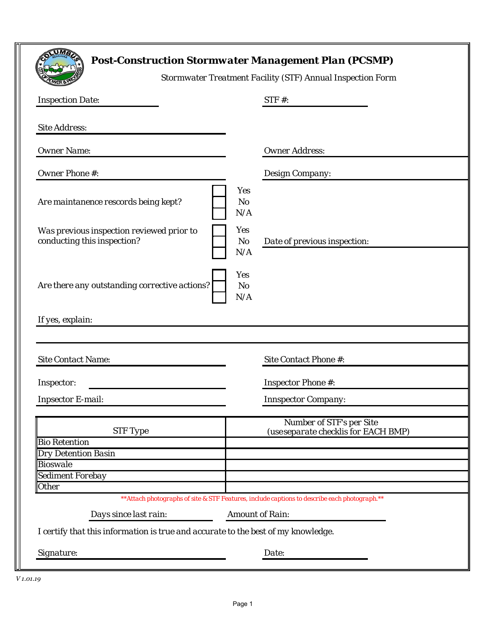|                                                                                                | <b>Post-Construction Stormwater Management Plan (PCSMP)</b><br><b>Stormwater Treatment Facility (STF) Annual Inspection Form</b> |  |  |  |  |  |  |
|------------------------------------------------------------------------------------------------|----------------------------------------------------------------------------------------------------------------------------------|--|--|--|--|--|--|
| <b>Inspection Date:</b>                                                                        | $STF#$ :                                                                                                                         |  |  |  |  |  |  |
| <b>Site Address:</b>                                                                           |                                                                                                                                  |  |  |  |  |  |  |
| <b>Owner Name:</b>                                                                             | <b>Owner Address:</b>                                                                                                            |  |  |  |  |  |  |
| <b>Owner Phone #:</b>                                                                          | Design Company:                                                                                                                  |  |  |  |  |  |  |
| Are maintanence rescords being kept?                                                           | Yes<br>N <sub>o</sub><br>N/A                                                                                                     |  |  |  |  |  |  |
| Was previous inspection reviewed prior to<br>conducting this inspection?                       | <b>Yes</b><br>N o<br>Date of previous inspection:<br>N/A                                                                         |  |  |  |  |  |  |
| Are there any outstanding corrective actions?                                                  | Yes<br>N <sub>o</sub><br>N/A                                                                                                     |  |  |  |  |  |  |
| If yes, explain:                                                                               |                                                                                                                                  |  |  |  |  |  |  |
|                                                                                                |                                                                                                                                  |  |  |  |  |  |  |
| <b>Site Contact Name:</b>                                                                      | Site Contact Phone #:                                                                                                            |  |  |  |  |  |  |
| Inspector:                                                                                     | <b>Inspector Phone #:</b>                                                                                                        |  |  |  |  |  |  |
| <b>Inpsector E-mail:</b>                                                                       | <b>Innspector Company:</b>                                                                                                       |  |  |  |  |  |  |
| <b>STF</b> Type<br><b>Bio Retention</b>                                                        | <b>Number of STF's per Site</b><br>(use separate checklis for EACH BMP)                                                          |  |  |  |  |  |  |
| <b>Dry Detention Basin</b>                                                                     |                                                                                                                                  |  |  |  |  |  |  |
| <b>Bioswale</b><br>Sediment Forebay                                                            |                                                                                                                                  |  |  |  |  |  |  |
| <b>Other</b>                                                                                   |                                                                                                                                  |  |  |  |  |  |  |
| ** Attach photographs of site & STF Features, include captions to describe each photograph. ** |                                                                                                                                  |  |  |  |  |  |  |
| Days since last rain:                                                                          | <b>Amount of Rain:</b>                                                                                                           |  |  |  |  |  |  |
| I certify that this information is true and accurate to the best of my knowledge.              |                                                                                                                                  |  |  |  |  |  |  |
| Signature:                                                                                     | Date:                                                                                                                            |  |  |  |  |  |  |